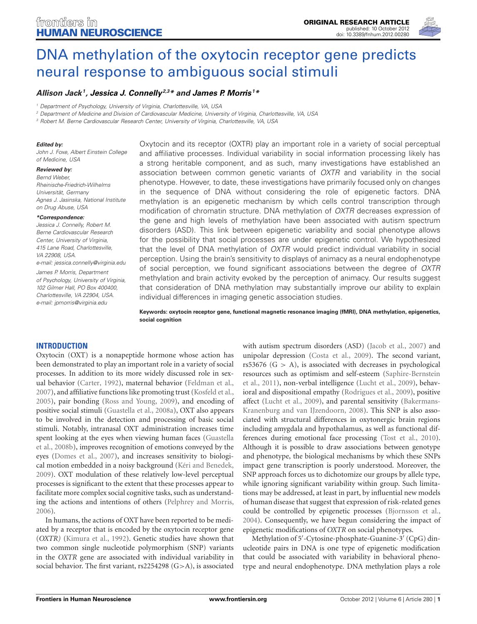

# [DNA methylation of the oxytocin receptor gene predicts](http://www.frontiersin.org/Human_Neuroscience/10.3389/fnhum.2012.00280/abstract) neural response to ambiguous social stimuli

# *Allison Jack1, [Jessica J. Connelly](http://community.frontiersin.org/people/JessicaConnelly/29429)2,3\* and [James P. Morris](http://www.frontiersin.org/Community/WhosWhoActivity.aspx?sname=JamieMorris&UID=46013) <sup>1</sup> \**

*<sup>1</sup> Department of Psychology, University of Virginia, Charlottesville, VA, USA*

*<sup>2</sup> Department of Medicine and Division of Cardiovascular Medicine, University of Virginia, Charlottesville, VA, USA*

*<sup>3</sup> Robert M. Berne Cardiovascular Research Center, University of Virginia, Charlottesville, VA, USA*

#### *Edited by:*

*John J. Foxe, Albert Einstein College of Medicine, USA*

#### *Reviewed by:*

*Bernd Weber, Rheinische-Friedrich-Wilhelms Universität, Germany Agnes J. Jasinska, National Institute on Drug Abuse, USA*

#### *\*Correspondence:*

*Jessica J. Connelly, Robert M. Berne Cardiovascular Research Center, University of Virginia, 415 Lane Road, Charlottesville, VA 22908, USA. e-mail: jessica.connelly@virginia.edu James P. Morris, Department of Psychology, University of Virginia, 102 Gilmer Hall, PO Box 400400, Charlottesville, VA 22904, USA. e-mail: jpmorris@virginia.edu*

Oxytocin and its receptor (OXTR) play an important role in a variety of social perceptual and affiliative processes. Individual variability in social information processing likely has a strong heritable component, and as such, many investigations have established an association between common genetic variants of *OXTR* and variability in the social phenotype. However, to date, these investigations have primarily focused only on changes in the sequence of DNA without considering the role of epigenetic factors. DNA methylation is an epigenetic mechanism by which cells control transcription through modification of chromatin structure. DNA methylation of *OXTR* decreases expression of the gene and high levels of methylation have been associated with autism spectrum disorders (ASD). This link between epigenetic variability and social phenotype allows for the possibility that social processes are under epigenetic control. We hypothesized that the level of DNA methylation of *OXTR* would predict individual variability in social perception. Using the brain's sensitivity to displays of animacy as a neural endophenotype of social perception, we found significant associations between the degree of *OXTR* methylation and brain activity evoked by the perception of animacy. Our results suggest that consideration of DNA methylation may substantially improve our ability to explain individual differences in imaging genetic association studies.

**Keywords: oxytocin receptor gene, functional magnetic resonance imaging (fMRI), DNA methylation, epigenetics, social cognition**

## **INTRODUCTION**

Oxytocin (OXT) is a nonapeptide hormone whose action has been demonstrated to play an important role in a variety of social processes. In addition to its more widely discussed role in sexual behavior [\(Carter](#page-5-0), [1992](#page-5-0)), maternal behavior [\(Feldman et al.,](#page-5-1) [2007](#page-5-1)), and affiliative functions like promoting trust [\(Kosfeld et al.,](#page-5-2) [2005](#page-5-2)), pair bonding [\(Ross and Young, 2009](#page-5-3)), and encoding of positive social stimuli [\(Guastella et al.](#page-5-4), [2008a](#page-5-4)), OXT also appears to be involved in the detection and processing of basic social stimuli. Notably, intranasal OXT administration increases time spen[t looking at the eyes when viewing human faces \(](#page-5-5)Guastella et al., [2008b](#page-5-5)), improves recognition of emotions conveyed by the eyes [\(Domes et al., 2007\)](#page-5-6), and increases sensitivity to biological motion embedded in a noisy background [\(Kéri and Benedek,](#page-5-7) [2009](#page-5-7)). OXT modulation of these relatively low-level perceptual processes is significant to the extent that these processes appear to facilitate more complex social cognitive tasks, such as understanding the actions and intentions of others [\(Pelphrey and Morris,](#page-5-8) [2006](#page-5-8)).

In humans, the actions of OXT have been reported to be mediated by a receptor that is encoded by the oxytocin receptor gene (*OXTR)* [\(Kimura et al., 1992\)](#page-5-9). Genetic studies have shown that two common single nucleotide polymorphism (SNP) variants in the *OXTR* gene are associated with individual variability in social behavior. The first variant, rs2254298 (G*>*A), is associated

with autism spectrum disorders (ASD) [\(Jacob et al., 2007\)](#page-5-10) and unipolar depression [\(Costa et al.](#page-5-11), [2009](#page-5-11)). The second variant, rs53676 (G *>* A), is associated with decreases in psychological reso[urces such as optimism and self-esteem \(](#page-5-12)Saphire-Bernstein et al., [2011](#page-5-12)), non-verbal intelligence [\(Lucht et al., 2009](#page-5-13)), behavioral and dispositional empathy [\(Rodrigues et al.](#page-5-14), [2009](#page-5-14)), positive affect [\(Lucht et al., 2009](#page-5-13)), and p[arental](#page-5-15) [sensitivity](#page-5-15) [\(](#page-5-15)Bakermans-Kranenburg and van IJzendoorn, [2008\)](#page-5-15). This SNP is also associated with structural differences in oxytonergic brain regions including amygdala and hypothalamus, as well as functional differences during emotional face processing [\(Tost et al.](#page-6-0), [2010](#page-6-0)). Although it is possible to draw associations between genotype and phenotype, the biological mechanisms by which these SNPs impact gene transcription is poorly understood. Moreover, the SNP approach forces us to dichotomize our groups by allele type, while ignoring significant variability within group. Such limitations may be addressed, at least in part, by influential new models of human disease that suggest that expression of risk-related genes could be controlled by epigenetic processes [\(Bjornsson et al.,](#page-5-16) [2004](#page-5-16)). Consequently, we have begun considering the impact of epigenetic modifications of *OXTR* on social phenotypes.

Methylation of 5'-Cytosine-phosphate-Guanine-3' (CpG) dinucleotide pairs in DNA is one type of epigenetic modification that could be associated with variability in behavioral phenotype and neural endophenotype. DNA methylation plays a role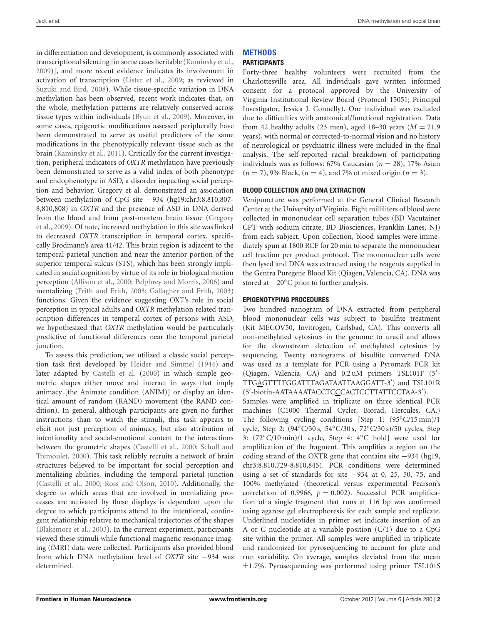Jack et al. DNA methylation and social brain

in differentiation and development, is commonly associated with transcriptional silencing [in some cases heritable [\(Kaminsky et al.,](#page-5-17) [2009](#page-5-17))], and more recent evidence indicates its involvement in activation of transcription [\(Lister et al., 2009](#page-5-18); as reviewed in [Suzuki and Bird](#page-5-19), [2008](#page-5-19)). While tissue-specific variation in DNA methylation has been observed, recent work indicates that, on the whole, methylation patterns are relatively conserved across tissue types within individuals [\(Byun et al.](#page-5-20), [2009\)](#page-5-20). Moreover, in some cases, epigenetic modifications assessed peripherally have been demonstrated to serve as useful predictors of the same modifications in the phenotypically relevant tissue such as the brain [\(Kaminsky et al.](#page-5-21), [2011](#page-5-21)). Critically for the current investigation, peripheral indicators of *OXTR* methylation have previously been demonstrated to serve as a valid index of both phenotype and endophenotype in ASD, a disorder impacting social perception and behavior. Gregory et al. demonstrated an association between methylation of CpG site −934 (hg19:chr3:8,810,807- 8,810,808) in *OXTR* and the presence of ASD in DNA derived fro[m the blood and from post-mortem brain tissue \(](#page-5-22)Gregory et al., [2009](#page-5-22)). Of note, increased methylation in this site was linked to decreased *OXTR* transcription in temporal cortex, specifically Brodmann's area 41/42. This brain region is adjacent to the temporal parietal junction and near the anterior portion of the superior temporal sulcus (STS), which has been strongly implicated in social cognition by virtue of its role in biological motion perception [\(Allison et al.](#page-5-23), [2000;](#page-5-23) [Pelphrey and Morris, 2006](#page-5-8)) and mentalizing [\(Frith and Frith, 2003;](#page-5-24) [Gallagher and Frith](#page-5-25), [2003](#page-5-25)) functions. Given the evidence suggesting OXT's role in social perception in typical adults and *OXTR* methylation related transcription differences in temporal cortex of persons with ASD, we hypothesized that *OXTR* methylation would be particularly predictive of functional differences near the temporal parietal junction.

To assess this prediction, we utilized a classic social perception task first developed by [Heider and Simmel](#page-5-26) [\(1944\)](#page-5-26) and later adapted by [Castelli et al.](#page-5-27) [\(2000](#page-5-27)) in which simple geometric shapes either move and interact in ways that imply animacy [the Animate condition (ANIM)] or display an identical amount of random (RAND) movement (the RAND condition). In general, although participants are given no further instructions than to watch the stimuli, this task appears to elicit not just perception of animacy, but also attribution of intentionality and social-emotional content to the interactions between t[he geometric shapes](#page-5-28) [\(Castelli et al., 2000](#page-5-27)[;](#page-5-28) Scholl and Tremoulet, [2000](#page-5-28)). This task reliably recruits a network of brain structures believed to be important for social perception and mentalizing abilities, including the temporal parietal junction [\(Castelli et al.](#page-5-27), [2000](#page-5-27); [Ross and Olson](#page-5-29), [2010](#page-5-29)). Additionally, the degree to which areas that are involved in mentalizing processes are activated by these displays is dependent upon the degree to which participants attend to the intentional, contingent relationship relative to mechanical trajectories of the shapes [\(Blakemore et al.](#page-5-30), [2003](#page-5-30)). In the current experiment, participants viewed these stimuli while functional magnetic resonance imaging (fMRI) data were collected. Participants also provided blood from which DNA methylation level of *OXTR* site −934 was determined.

# **METHODS**

**PARTICIPANTS**

Forty-three healthy volunteers were recruited from the Charlottesville area. All individuals gave written informed consent for a protocol approved by the University of Virginia Institutional Review Board (Protocol 15051; Principal Investigator, Jessica J. Connelly). One individual was excluded due to difficulties with anatomical/functional registration. Data from 42 healthy adults (23 men), aged 18–30 years ( $M = 21.9$ years), with normal or corrected-to-normal vision and no history of neurological or psychiatric illness were included in the final analysis. The self-reported racial breakdown of participating individuals was as follows: 67% Caucasian (*n* = 28), 17% Asian  $(n = 7)$ , 9% Black,  $(n = 4)$ , and 7% of mixed origin  $(n = 3)$ .

## **BLOOD COLLECTION AND DNA EXTRACTION**

Venipuncture was performed at the General Clinical Research Center at the University of Virginia. Eight milliliters of blood were collected in mononuclear cell separation tubes (BD Vacutainer CPT with sodium citrate, BD Biosciences, Franklin Lanes, NJ) from each subject. Upon collection, blood samples were immediately spun at 1800 RCF for 20 min to separate the mononuclear cell fraction per product protocol. The mononuclear cells were then lysed and DNA was extracted using the reagents supplied in the Gentra Puregene Blood Kit (Qiagen, Valencia, CA). DNA was stored at −20◦C prior to further analysis.

## **EPIGENOTYPING PROCEDURES**

Two hundred nanogram of DNA extracted from peripheral blood mononuclear cells was subject to bisulfite treatment (Kit MECOV50, Invitrogen, Carlsbad, CA). This converts all non-methylated cytosines in the genome to uracil and allows for the downstream detection of methylated cytosines by sequencing. Twenty nanograms of bisulfite converted DNA was used as a template for PCR using a Pyromark PCR kit (Qiagen, Valencia, CA) and 0.2 uM primers TSL101F (5'-TTG<u>A</u>GTTTTGGATTTAGATAATTAAGGATT-3') and TSL101R (5'-biotin-AATAAAATACCTCCCACTCCTTATTCCTAA-3'). Samples were amplified in triplicate on three identical PCR machines (C1000 Thermal Cycler, Biorad, Hercules, CA.) The following cycling conditions [Step 1: (95◦C/15 min)/1 cycle, Step 2: (94◦C/30 s, 54◦C/30 s, 72◦C/30 s)/50 cycles, Step 3: (72◦C/10 min)/1 cycle, Step 4: 4◦C hold] were used for amplification of the fragment. This amplifies a region on the coding strand of the OXTR gene that contains site −934 (hg19, chr3:8,810,729-8,810,845). PCR conditions were determined using a set of standards for site −934 at 0, 25, 50, 75, and 100% methylated (theoretical versus experimental Pearson's correlation of 0.9966,  $p = 0.002$ ). Successful PCR amplification of a single fragment that runs at 116 bp was confirmed using agarose gel electrophoresis for each sample and replicate. Underlined nucleotides in primer set indicate insertion of an A or C nucleotide at a variable position (C/T) due to a CpG site within the primer. All samples were amplified in triplicate and randomized for pyrosequencing to account for plate and run variability. On average, samples deviated from the mean ±1.7%. Pyrosequencing was performed using primer TSL101S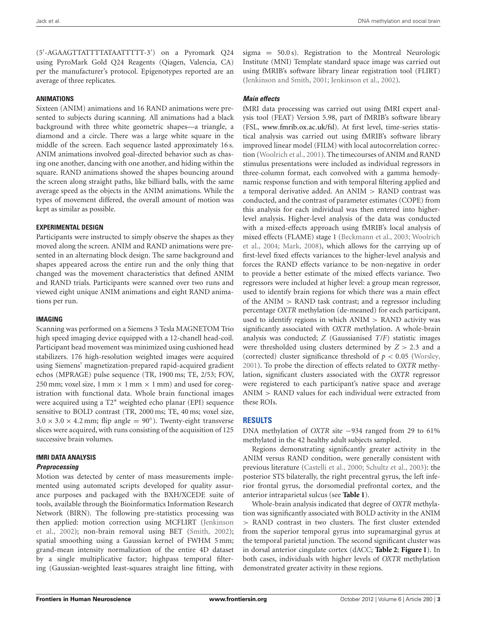(5'-AGAAGTTATTTTATAATTTTT-3') on a Pyromark Q24 using PyroMark Gold Q24 Reagents (Qiagen, Valencia, CA) per the manufacturer's protocol. Epigenotypes reported are an average of three replicates.

### **ANIMATIONS**

Sixteen (ANIM) animations and 16 RAND animations were presented to subjects during scanning. All animations had a black background with three white geometric shapes—a triangle, a diamond and a circle. There was a large white square in the middle of the screen. Each sequence lasted approximately 16 s. ANIM animations involved goal-directed behavior such as chasing one another, dancing with one another, and hiding within the square. RAND animations showed the shapes bouncing around the screen along straight paths, like billiard balls, with the same average speed as the objects in the ANIM animations. While the types of movement differed, the overall amount of motion was kept as similar as possible.

### **EXPERIMENTAL DESIGN**

Participants were instructed to simply observe the shapes as they moved along the screen. ANIM and RAND animations were presented in an alternating block design. The same background and shapes appeared across the entire run and the only thing that changed was the movement characteristics that defined ANIM and RAND trials. Participants were scanned over two runs and viewed eight unique ANIM animations and eight RAND animations per run.

#### **IMAGING**

Scanning was performed on a Siemens 3 Tesla MAGNETOM Trio high speed imaging device equipped with a 12-chanell head-coil. Participant head movement was minimized using cushioned head stabilizers. 176 high-resolution weighted images were acquired using Siemens' magnetization-prepared rapid-acquired gradient echos (MPRAGE) pulse sequence (TR, 1900 ms; TE, 2/53; FOV, 250 mm; voxel size, 1 mm  $\times$  1 mm  $\times$  1 mm) and used for coregistration with functional data. Whole brain functional images were acquired using a T2∗ weighted echo planar (EPI) sequence sensitive to BOLD contrast (TR, 2000 ms; TE, 40 ms; voxel size,  $3.0 \times 3.0 \times 4.2$  mm; flip angle = 90°). Twenty-eight transverse slices were acquired, with runs consisting of the acquisition of 125 successive brain volumes.

## **fMRI DATA ANALYSIS**

#### *Preprocessing*

Motion was detected by center of mass measurements implemented using automated scripts developed for quality assurance purposes and packaged with the BXH/XCEDE suite of tools, available through the Bioinformatics Information Research Network (BIRN). The following pre-statistics processing was then [applied: motion correction using MCFLIRT \(](#page-5-31)Jenkinson et al., [2002\)](#page-5-31); non-brain removal using BET [\(Smith, 2002](#page-5-32)); spatial smoothing using a Gaussian kernel of FWHM 5 mm; grand-mean intensity normalization of the entire 4D dataset by a single multiplicative factor; highpass temporal filtering (Gaussian-weighted least-squares straight line fitting, with

sigma = 50.0 s). Registration to the Montreal Neurologic Institute (MNI) Template standard space image was carried out using fMRIB's software library linear registration tool (FLIRT) [\(Jenkinson and Smith](#page-5-33), [2001;](#page-5-33) [Jenkinson et al.](#page-5-31), [2002\)](#page-5-31).

## *Main effects*

fMRI data processing was carried out using fMRI expert analysis tool (FEAT) Version 5.98, part of fMRIB's software library (FSL, www*.*fmrib*.*ox*.*ac*.*[uk/fsl\)](www.fmrib.ox.ac.uk/fsl). At first level, time-series statistical analysis was carried out using fMRIB's software library improved linear model (FILM) with local autocorrelation correction [\(Woolrich et al., 2001\)](#page-6-1). The timecourses of ANIM and RAND stimulus presentations were included as individual regressors in three-column format, each convolved with a gamma hemodynamic response function and with temporal filtering applied and a temporal derivative added. An ANIM *>* RAND contrast was conducted, and the contrast of parameter estimates (COPE) from this analysis for each individual was then entered into higherlevel analysis. Higher-level analysis of the data was conducted with a mixed-effects approach using fMRIB's local analysis of mixe[d](#page-6-2) [effects](#page-6-2) [\(FLAME\)](#page-6-2) [stage](#page-6-2) [1](#page-6-2) [\(Beckmann et al.](#page-5-34)[,](#page-6-2) [2003](#page-5-34)[;](#page-6-2) Woolrich et al., [2004](#page-6-2); [Mark, 2008](#page-5-35)), which allows for the carrying up of first-level fixed effects variances to the higher-level analysis and forces the RAND effects variance to be non-negative in order to provide a better estimate of the mixed effects variance. Two regressors were included at higher level: a group mean regressor, used to identify brain regions for which there was a main effect of the ANIM *>* RAND task contrast; and a regressor including percentage *OXTR* methylation (de-meaned) for each participant, used to identify regions in which ANIM *>* RAND activity was significantly associated with *OXTR* methylation. A whole-brain analysis was conducted; *Z* (Gaussianised *T*/*F*) statistic images were thresholded using clusters determined by  $Z > 2.3$  and a (corrected) cluster significance threshold of  $p < 0.05$  [\(Worsley,](#page-6-3) [2001](#page-6-3)). To probe the direction of effects related to *OXTR* methylation, significant clusters associated with the *OXTR* regressor were registered to each participant's native space and average ANIM *>* RAND values for each individual were extracted from these ROIs.

## **RESULTS**

DNA methylation of *OXTR* site −934 ranged from 29 to 61% methylated in the 42 healthy adult subjects sampled.

Regions demonstrating significantly greater activity in the ANIM versus RAND condition, were generally consistent with previous literature [\(Castelli et al., 2000](#page-5-27); [Schultz et al.](#page-5-36), [2003](#page-5-36)): the posterior STS bilaterally, the right precentral gyrus, the left inferior frontal gyrus, the dorsomedial prefrontal cortex, and the anterior intraparietal sulcus (see **[Table 1](#page-3-0)**).

Whole-brain analysis indicated that degree of *OXTR* methylation was significantly associated with BOLD activity in the ANIM *>* RAND contrast in two clusters. The first cluster extended from the superior temporal gyrus into supramarginal gyrus at the temporal parietal junction. The second significant cluster was in dorsal anterior cingulate cortex (dACC; **[Table 2](#page-3-1)**; **[Figure 1](#page-3-2)**). In both cases, individuals with higher levels of *OXTR* methylation demonstrated greater activity in these regions.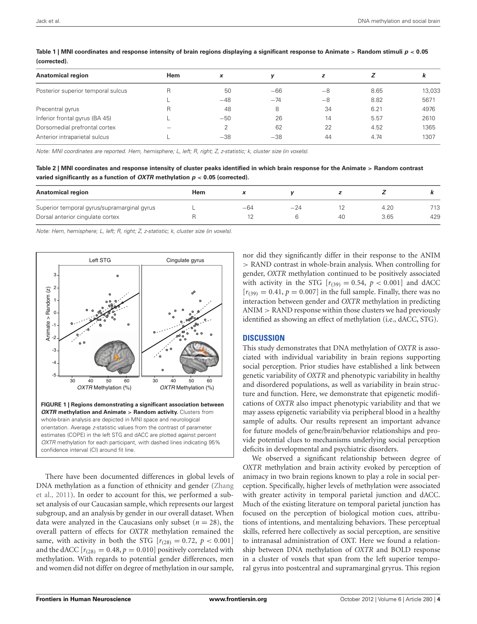| <b>Anatomical region</b>           | <b>Hem</b>               | x     |       | z    |      | n      |
|------------------------------------|--------------------------|-------|-------|------|------|--------|
| Posterior superior temporal sulcus | R                        | 50    | $-66$ | $-8$ | 8.65 | 13,033 |
|                                    |                          | $-48$ | $-74$ | -8   | 8.82 | 5671   |
| Precentral gyrus                   | R                        | 48    | 8     | 34   | 6.21 | 4976   |
| Inferior frontal gyrus (BA 45)     |                          | $-50$ | 26    | 14   | 5.57 | 2610   |
| Dorsomedial prefrontal cortex      | $\overline{\phantom{a}}$ |       | 62    | 22   | 4.52 | 1365   |
| Anterior intraparietal sulcus      |                          | $-38$ | $-38$ | 44   | 4.74 | 1307   |
|                                    |                          |       |       |      |      |        |

<span id="page-3-0"></span>**Table 1 | MNI coordinates and response intensity of brain regions displaying a significant response to Animate** *>* **Random stimuli** *p <* **0***.***05 (corrected).**

*Note: MNI coordinates are reported. Hem, hemisphere; L, left; R, right; Z, z-statistic; k, cluster size (in voxels).*

<span id="page-3-1"></span>**Table 2 | MNI coordinates and response intensity of cluster peaks identified in which brain response for the Animate** *>* **Random contrast varied significantly as a function of** *OXTR* **methylation** *p <* **0***.***05 (corrected).**

| <b>Anatomical region</b>                    | Hem |       |       |    |      |     |
|---------------------------------------------|-----|-------|-------|----|------|-----|
| Superior temporal gyrus/supramarginal gyrus |     | $-64$ | $-24$ |    | 4.20 | 713 |
| Dorsal anterior cingulate cortex            |     |       |       | 40 | 3.65 | 429 |

*Note: Hem, hemisphere; L, left; R, right; Z, z-statistic; k, cluster size (in voxels).*



<span id="page-3-2"></span>There have been documented differences in global levels of DN[A methylation as a function of ethnicity and gender \(](#page-6-4)Zhang et al., [2011\)](#page-6-4). In order to account for this, we performed a subset analysis of our Caucasian sample, which represents our largest subgroup, and an analysis by gender in our overall dataset. When data were analyzed in the Caucasians only subset  $(n = 28)$ , the overall pattern of effects for *OXTR* methylation remained the same, with activity in both the STG  $[r_{(28)} = 0.72, p < 0.001]$ and the dACC  $[r_{(28)} = 0.48, p = 0.010]$  positively correlated with methylation. With regards to potential gender differences, men and women did not differ on degree of methylation in our sample,

nor did they significantly differ in their response to the ANIM *>* RAND contrast in whole-brain analysis. When controlling for gender, *OXTR* methylation continued to be positively associated with activity in the STG  $[r_{(39)} = 0.54, p < 0.001]$  and dACC  $[r_{(39)} = 0.41, p = 0.007]$  in the full sample. Finally, there was no interaction between gender and *OXTR* methylation in predicting ANIM *>* RAND response within those clusters we had previously identified as showing an effect of methylation (i.e., dACC, STG).

### **DISCUSSION**

This study demonstrates that DNA methylation of *OXTR* is associated with individual variability in brain regions supporting social perception. Prior studies have established a link between genetic variability of *OXTR* and phenotypic variability in healthy and disordered populations, as well as variability in brain structure and function. Here, we demonstrate that epigenetic modifications of *OXTR* also impact phenotypic variability and that we may assess epigenetic variability via peripheral blood in a healthy sample of adults. Our results represent an important advance for future models of gene/brain/behavior relationships and provide potential clues to mechanisms underlying social perception deficits in developmental and psychiatric disorders.

We observed a significant relationship between degree of *OXTR* methylation and brain activity evoked by perception of animacy in two brain regions known to play a role in social perception. Specifically, higher levels of methylation were associated with greater activity in temporal parietal junction and dACC. Much of the existing literature on temporal parietal junction has focused on the perception of biological motion cues, attributions of intentions, and mentalizing behaviors. These perceptual skills, referred here collectively as social perception, are sensitive to intranasal administration of OXT. Here we found a relationship between DNA methylation of *OXTR* and BOLD response in a cluster of voxels that span from the left superior temporal gyrus into postcentral and supramarginal gryrus. This region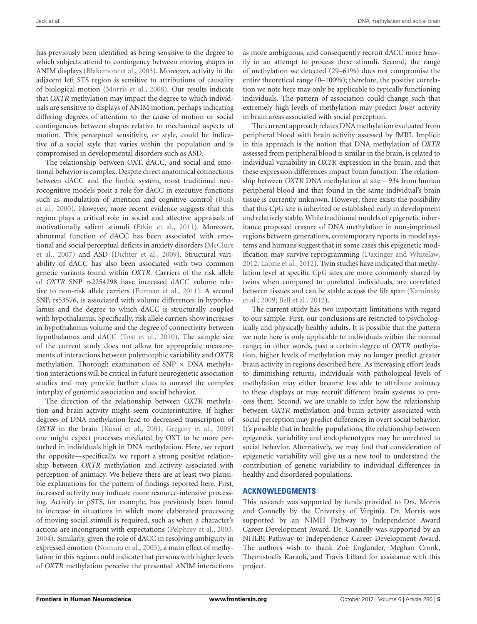has previously been identified as being sensitive to the degree to which subjects attend to contingency between moving shapes in ANIM displays [\(Blakemore et al., 2003](#page-5-30)). Moreover, activity in the adjacent left STS region is sensitive to attributions of causality of biological motion [\(Morris et al.](#page-5-37), [2008](#page-5-37)). Our results indicate that *OXTR* methylation may impact the degree to which individuals are sensitive to displays of ANIM motion, perhaps indicating differing degrees of attention to the cause of motion or social contingencies between shapes relative to mechanical aspects of motion. This perceptual sensitivity, or style, could be indicative of a social style that varies within the population and is compromised in developmental disorders such as ASD.

The relationship between OXT, dACC, and social and emotional behavior is complex. Despite direct anatomical connections between dACC and the limbic system, most traditional neurocognitive models posit a role for dACC in executive functions such [as](#page-5-38) [modulation](#page-5-38) [of](#page-5-38) [attention](#page-5-38) [and](#page-5-38) [cognitive](#page-5-38) [control](#page-5-38) [\(](#page-5-38)Bush et al., [2000\)](#page-5-38). However, more recent evidence suggests that this region plays a critical role in social and affective appraisals of motivationally salient stimuli [\(Etkin et al., 2011](#page-5-39)). Moreover, abnormal function of dACC has been associated with emotiona[l and social perceptual deficits in anxiety disorders \(](#page-5-40)McClure et al., [2007](#page-5-40)) and ASD [\(Dichter et al., 2009\)](#page-5-41). Structural variability of dACC has also been associated with two common genetic variants found within *OXTR.* Carriers of the risk allele of *OXTR* SNP rs2254298 have increased dACC volume relative to non-risk allele carriers [\(Furman et al.](#page-5-42), [2011](#page-5-42)). A second SNP, rs53576, is associated with volume differences in hypothalamus and the degree to which dACC is structurally coupled with hypothalamus. Specifically, risk allele carriers show increases in hypothalamus volume and the degree of connectivity between hypothalamus and dACC [\(Tost et al.](#page-6-0), [2010](#page-6-0)). The sample size of the current study does not allow for appropriate measurements of interactions between polymorphic variability and *OXTR* methylation. Thorough examination of SNP  $\times$  DNA methylation interactions will be critical in future neurogenetic association studies and may provide further clues to unravel the complex interplay of genomic association and social behavior.

The direction of the relationship between *OXTR* methylation and brain activity might seem counterintuitive. If higher degrees of DNA methylation lead to decreased transcription of *OXTR* in the brain [\(Kusui et al.](#page-5-43), [2001](#page-5-43); [Gregory et al.](#page-5-22), [2009](#page-5-22)) one might expect processes mediated by OXT to be more perturbed in individuals high in DNA methylation. Here, we report the opposite—specifically, we report a strong positive relationship between *OXTR* methylation and activity associated with perception of animacy. We believe there are at least two plausible explanations for the pattern of findings reported here. First, increased activity may indicate more resource-intensive processing. Activity in pSTS, for example, has previously been found to increase in situations in which more elaborated processing of moving social stimuli is required, such as when a character's actions are incongruent with expectations [\(Pelphrey et al.](#page-5-44), [2003,](#page-5-44) [2004](#page-5-45)). Similarly, given the role of dACC in resolving ambiguity in expressed emotion [\(Nomura et al., 2003](#page-5-46)), a main effect of methylation in this region could indicate that persons with higher levels of *OXTR* methylation perceive the presented ANIM interactions

as more ambiguous, and consequently recruit dACC more heavily in an attempt to process these stimuli. Second, the range of methylation we detected (29–61%) does not compromise the entire theoretical range (0–100%); therefore, the positive correlation we note here may only be applicable to typically functioning individuals. The pattern of association could change such that extremely high levels of methylation may predict *lower* activity in brain areas associated with social perception.

The current approach relates DNA methylation evaluated from peripheral blood with brain activity assessed by fMRI. Implicit in this approach is the notion that DNA methylation of *OXTR* assessed from peripheral blood is similar in the brain, is related to individual variability in *OXTR* expression in the brain, and that these expression differences impact brain function. The relationship between *OXTR* DNA methylation at site −934 from human peripheral blood and that found in the same individual's brain tissue is currently unknown. However, there exists the possibility that this CpG site is inherited or established early in development and relatively stable. While traditional models of epigenetic inheritance proposed erasure of DNA methylation in non-imprinted regions between generations, contemporary reports in model systems and humans suggest that in some cases this epigenetic modification may survive reprogramming [\(Daxinger and Whitelaw,](#page-5-47) [2012](#page-5-47); [Labrie et al., 2012\)](#page-5-48). Twin studies have indicated that methylation level at specific CpG sites are more commonly shared by twins when compared to unrelated individuals, are correlated bet[ween tissues and can be stable across the life span \(](#page-5-17)Kaminsky et al., [2009;](#page-5-17) [Bell et al., 2012\)](#page-5-49).

The current study has two important limitations with regard to our sample. First, our conclusions are restricted to psychologically and physically healthy adults. It is possible that the pattern we note here is only applicable to individuals within the normal range; in other words, past a certain degree of *OXTR* methylation, higher levels of methylation may no longer predict greater brain activity in regions described here. As increasing effort leads to diminishing returns, individuals with pathological levels of methylation may either become less able to attribute animacy to these displays or may recruit different brain systems to process them. Second, we are unable to infer how the relationship between *OXTR* methylation and brain activity associated with social perception may predict differences in overt social behavior. It's possible that in healthy populations, the relationship between epigenetic variability and endophenotypes may be unrelated to social behavior. Alternatively, we may find that consideration of epigenetic variability will give us a new tool to understand the contribution of genetic variability to individual differences in healthy and disordered populations.

## **ACKNOWLEDGMENTS**

This research was supported by funds provided to Drs. Morris and Connelly by the University of Virginia. Dr. Morris was supported by an NIMH Pathway to Independence Award Career Development Award. Dr. Connelly was supported by an NHLBI Pathway to Independence Career Development Award. The authors wish to thank Zoë Englander, Meghan Cronk, Themistoclis Karaoli, and Travis Lillard for assistance with this project.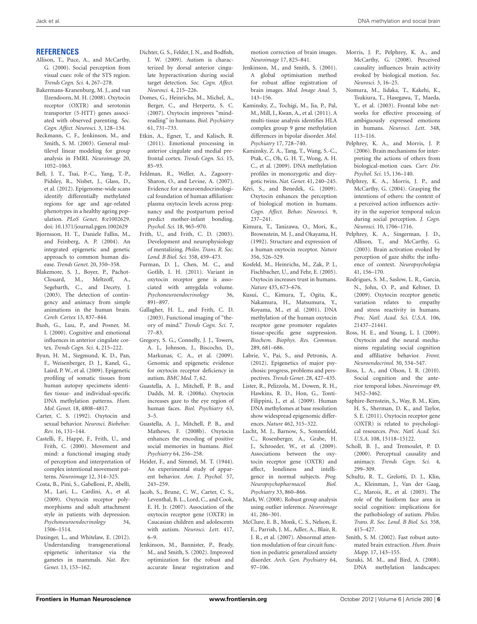### **REFERENCES**

- <span id="page-5-23"></span>Allison, T., Puce, A., and McCarthy, G. (2000). Social perception from visual cues: role of the STS region. *Trends Cogn. Sci.* 4, 267–278.
- <span id="page-5-15"></span>Bakermans-Kranenburg, M. J., and van IJzendoorn, M. H. (2008). Oxytocin receptor (OXTR) and serotonin transporter (5-HTT) genes associated with observed parenting. *Soc. Cogn. Affect. Neurosci.* 3, 128–134.
- <span id="page-5-34"></span>Beckmann, C. F., Jenkinson, M., and Smith, S. M. (2003). General multilevel linear modeling for group analysis in FMRI. *Neuroimage* 20, 1052–1063.
- <span id="page-5-49"></span>Bell, J. T., Tsai, P.-C., Yang, T.-P., Pidsley, R., Nisbet, J., Glass, D., et al. (2012). Epigenome-wide scans identify differentially methylated regions for age and age-related phenotypes in a healthy ageing population. *PLoS Genet.* 8:e1002629. doi: 10.1371/journal.pgen.1002629
- <span id="page-5-16"></span>Bjornsson, H. T., Daniele Fallin, M., and Feinberg, A. P. (2004). An integrated epigenetic and genetic approach to common human disease. *Trends Genet.* 20, 350–358.
- <span id="page-5-30"></span>Blakemore, S. J., Boyer, P., Pachot-Clouard, M., Meltzoff, A., Segebarth, C., and Decety, J. (2003). The detection of contingency and animacy from simple animations in the human brain. *Cereb. Cortex* 13, 837–844.
- <span id="page-5-38"></span>Bush, G., Luu, P., and Posner, M. I. (2000). Cognitive and emotional influences in anterior cingulate cortex. *Trends Cogn. Sci.* 4, 215–222.
- <span id="page-5-20"></span>Byun, H. M., Siegmund, K. D., Pan, F., Weisenberger, D. J., Kanel, G., Laird, P. W., et al. (2009). Epigenetic profiling of somatic tissues from human autopsy specimens identifies tissue- and individual-specific DNA methylation patterns. *Hum. Mol. Genet.* 18, 4808–4817.
- <span id="page-5-0"></span>Carter, C. S. (1992). Oxytocin and sexual behavior. *Neurosci. Biobehav. Rev.* 16, 131–144.
- <span id="page-5-27"></span>Castelli, F., Happé, F., Frith, U., and Frith, C. (2000). Movement and mind: a functional imaging study of perception and interpretation of complex intentional movement patterns. *Neuroimage* 12, 314–325.
- <span id="page-5-11"></span>Costa, B., Pini, S., Gabelloni, P., Abelli, M., Lari, L., Cardini, A., et al. (2009). Oxytocin receptor polymorphisms and adult attachment style in patients with depression. *Psychoneuroendocrinology* 34, 1506–1514.
- <span id="page-5-47"></span>Daxinger, L., and Whitelaw, E. (2012). Understanding transgenerational epigenetic inheritance via the gametes in mammals. *Nat. Rev. Genet.* 13, 153–162.
- <span id="page-5-41"></span>Dichter, G. S., Felder, J. N., and Bodfish, J. W. (2009). Autism is characterized by dorsal anterior cingulate hyperactivation during social target detection. *Soc. Cogn. Affect. Neurosci.* 4, 215–226.
- <span id="page-5-6"></span>Domes, G., Heinrichs, M., Michel, A., Berger, C., and Herpertz, S. C. (2007). Oxytocin improves "mindreading" in humans. *Biol. Psychiatry* 61, 731–733.
- <span id="page-5-39"></span>Etkin, A., Egner, T., and Kalisch, R. (2011). Emotional processing in anterior cingulate and medial prefrontal cortex. *Trends Cogn. Sci.* 15, 85–93.
- <span id="page-5-1"></span>Feldman, R., Weller, A., Zagoory-Sharon, O., and Levine, A. (2007). Evidence for a neuroendocrinological foundation of human affiliation: plasma oxytocin levels across pregnancy and the postpartum period predict mother-infant bonding. *Psychol. Sci.* 18, 965–970.
- <span id="page-5-24"></span>Frith, U., and Frith, C. D. (2003). Development and neurophysiology of mentalizing. *Philos. Trans. R. Soc. Lond. B Biol. Sci.* 358, 459–473.
- <span id="page-5-42"></span>Furman, D. J., Chen, M. C., and Gotlib, I. H. (2011). Variant in oxytocin receptor gene is associated with amygdala volume. *Psychoneuroendocrinology* 36, 891–897.
- <span id="page-5-25"></span>Gallagher, H. L., and Frith, C. D. (2003). Functional imaging of "theory of mind." *Trends Cogn. Sci.* 7, 77–83.
- <span id="page-5-22"></span>Gregory, S. G., Connelly, J. J., Towers, A. J., Johnson, J., Biscocho, D., Markunas, C. A., et al. (2009). Genomic and epigenetic evidence for oxytocin receptor deficiency in autism. *BMC Med.* 7, 62.
- <span id="page-5-4"></span>Guastella, A. J., Mitchell, P. B., and Dadds, M. R. (2008a). Oxytocin increases gaze to the eye region of human faces. *Biol. Psychiatry* 63, 3–5.
- <span id="page-5-5"></span>Guastella, A. J., Mitchell, P. B., and Mathews, F. (2008b). Oxytocin enhances the encoding of positive social memories in humans. *Biol. Psychiatry* 64, 256–258.
- <span id="page-5-26"></span>Heider, F., and Simmel, M. T. (1944). An experimental study of apparent behavior. *Am. J. Psychol.* 57, 243–259.
- <span id="page-5-10"></span>Jacob, S., Brune, C. W., Carter, C. S., Leventhal, B. L., Lord, C., and Cook, E. H. Jr. (2007). Association of the oxytocin receptor gene (OXTR) in Caucasian children and adolescents with autism. *Neurosci. Lett.* 417, 6–9.
- <span id="page-5-31"></span>Jenkinson, M., Bannister, P., Brady, M., and Smith, S. (2002). Improved optimization for the robust and accurate linear registration and

motion correction of brain images. *Neuroimage* 17, 825–841.

- <span id="page-5-33"></span>Jenkinson, M., and Smith, S. (2001). A global optimisation method for robust affine registration of brain images. *Med. Image Anal.* 5, 143–156.
- <span id="page-5-21"></span>Kaminsky, Z., Tochigi, M., Jia, P., Pal, M., Mill, J., Kwan, A., et al. (2011). A multi-tissue analysis identifies HLA complex group 9 gene methylation differences in bipolar disorder. *Mol. Psychiatry* 17, 728–740.
- <span id="page-5-17"></span>Kaminsky, Z. A., Tang, T., Wang, S.-C., Ptak, C., Oh, G. H. T., Wong, A. H. C., et al. (2009). DNA methylation profiles in monozygotic and dizygotic twins. *Nat. Genet.* 41, 240–245.
- <span id="page-5-7"></span>Kéri, S., and Benedek, G. (2009). Oxytocin enhances the perception of biological motion in humans. *Cogn. Affect. Behav. Neurosci.* 9, 237–241.
- <span id="page-5-9"></span>Kimura, T., Tanizawa, O., Mori, K., Brownstein, M. J., and Okayama, H. (1992). Structure and expression of a human oxytocin receptor. *Nature* 356, 526–529.
- <span id="page-5-2"></span>Kosfeld, M., Heinrichs, M., Zak, P. J., Fischbacher, U., and Fehr, E. (2005). Oxytocin increases trust in humans. *Nature* 435, 673–676.
- <span id="page-5-43"></span>Kusui, C., Kimura, T., Ogita, K., Nakamura, H., Matsumura, Y., Koyama, M., et al. (2001). DNA methylation of the human oxytocin receptor gene promoter regulates tissue-specific gene suppression. *Biochem. Biophys. Res. Commun.* 289, 681–686.
- <span id="page-5-48"></span>Labrie, V., Pai, S., and Petronis, A. (2012). Epigenetics of major psychosis: progress, problems and perspectives. *Trends Genet*. 28, 427–435.
- <span id="page-5-18"></span>Lister, R., Pelizzola, M., Dowen, R. H., Hawkins, R. D., Hon, G., Tonti-Filippini, J., et al. (2009). Human DNA methylomes at base resolution show widespread epigenomic differences. *Nature* 462, 315–322.
- <span id="page-5-13"></span>Lucht, M. J., Barnow, S., Sonnenfeld, C., Rosenberger, A., Grabe, H. J., Schroeder, W., et al. (2009). Associations between the oxytocin receptor gene (OXTR) and affect, loneliness and intelligence in normal subjects. *Prog. Neuropsychopharmacol. Biol. Psychiatry* 33, 860–866.
- <span id="page-5-35"></span>Mark, W. (2008). Robust group analysis using outlier inference. *Neuroimage* 41, 286–301.
- <span id="page-5-40"></span>McClure, E. B., Monk, C. S., Nelson, E. E., Parrish, J. M., Adler, A., Blair, R. J. R., et al. (2007). Abnormal attention modulation of fear circuit function in pediatric generalized anxiety disorder. *Arch. Gen. Psychiatry* 64, 97–106.
- <span id="page-5-37"></span>Morris, J. P., Pelphrey, K. A., and McCarthy, G. (2008). Perceived causality influences brain activity evoked by biological motion. *Soc. Neurosci.* 3, 16–25.
- <span id="page-5-46"></span>Nomura, M., Iidaka, T., Kakehi, K., Tsukiura, T., Hasegawa, T., Maeda, Y., et al. (2003). Frontal lobe networks for effective processing of ambiguously expressed emotions in humans. *Neurosci. Lett.* 348, 113–116.
- <span id="page-5-8"></span>Pelphrey, K. A., and Morris, J. P. (2006). Brain mechanisms for interpreting the actions of others from biological-motion cues. *Curr. Dir. Psychol. Sci.* 15, 136–140.
- <span id="page-5-45"></span>Pelphrey, K. A., Morris, J. P., and McCarthy, G. (2004). Grasping the intentions of others: the context of a perceived action influences activity in the superior temporal sulcus during social perception. *J. Cogn. Neurosci.* 10, 1706–1716.
- <span id="page-5-44"></span>Pelphrey, K. A., Singerman, J. D., Allison, T., and McCarthy, G. (2003). Brain activation evoked by perception of gaze shifts: the influence of context. *Neuropsychologia* 41, 156–170.
- <span id="page-5-14"></span>Rodrigues, S. M., Saslow, L. R., Garcia, N., John, O. P., and Keltner, D. (2009). Oxytocin receptor genetic variation relates to empathy and stress reactivity in humans. *Proc. Natl. Acad. Sci. U.S.A.* 106, 21437–21441.
- <span id="page-5-3"></span>Ross, H. E., and Young, L. J. (2009). Oxytocin and the neural mechanisms regulating social cognition and affiliative behavior. *Front. Neuroendocrinol.* 30, 534–547.
- <span id="page-5-29"></span>Ross, L. A., and Olson, I. R. (2010). Social cognition and the anterior temporal lobes. *Neuroimage* 49, 3452–3462.
- <span id="page-5-12"></span>Saphire-Bernstein, S., Way, B. M., Kim, H. S., Sherman, D. K., and Taylor, S. E. (2011). Oxytocin receptor gene (OXTR) is related to psychological resources. *Proc. Natl. Acad. Sci. U.S.A.* 108, 15118–15122.
- <span id="page-5-28"></span>Scholl, B. J., and Tremoulet, P. D. (2000). Perceptual causality and animacy. *Trends Cogn. Sci.* 4, 299–309.
- <span id="page-5-36"></span>Schultz, R. T., Grelotti, D. J., Klin, A., Kleinman, J., Van der Gaag, C., Marois, R., et al. (2003). The role of the fusiform face area in social cognition: implications for the pathobiology of autism. *Philos. Trans. R. Soc. Lond. B Biol. Sci.* 358, 415–427.
- <span id="page-5-32"></span>Smith, S. M. (2002). Fast robust automated brain extraction. *Hum. Brain Mapp.* 17, 143–155.
- <span id="page-5-19"></span>Suzuki, M. M., and Bird, A. (2008). DNA methylation landscapes: